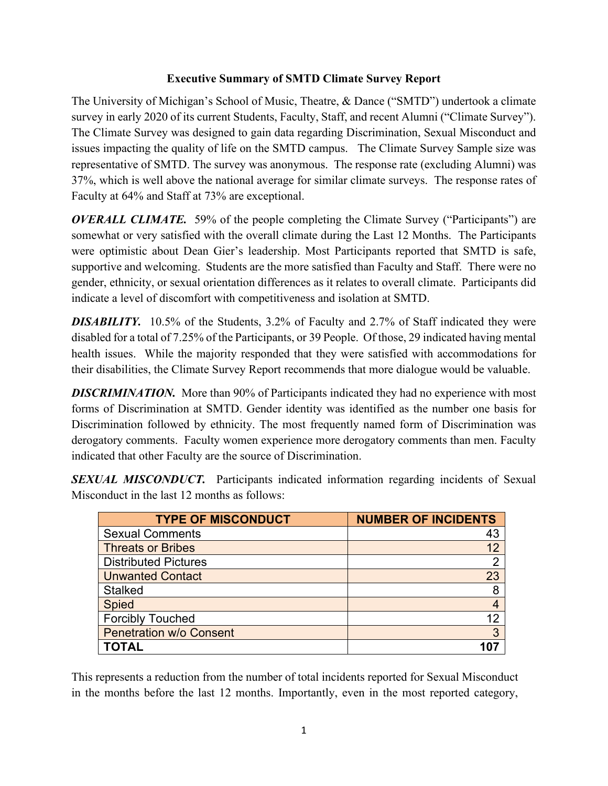## **Executive Summary of SMTD Climate Survey Report**

The University of Michigan's School of Music, Theatre, & Dance ("SMTD") undertook a climate survey in early 2020 of its current Students, Faculty, Staff, and recent Alumni ("Climate Survey"). The Climate Survey was designed to gain data regarding Discrimination, Sexual Misconduct and issues impacting the quality of life on the SMTD campus. The Climate Survey Sample size was representative of SMTD. The survey was anonymous. The response rate (excluding Alumni) was 37%, which is well above the national average for similar climate surveys. The response rates of Faculty at 64% and Staff at 73% are exceptional.

*OVERALL CLIMATE.* 59% of the people completing the Climate Survey ("Participants") are somewhat or very satisfied with the overall climate during the Last 12 Months. The Participants were optimistic about Dean Gier's leadership. Most Participants reported that SMTD is safe, supportive and welcoming. Students are the more satisfied than Faculty and Staff. There were no gender, ethnicity, or sexual orientation differences as it relates to overall climate. Participants did indicate a level of discomfort with competitiveness and isolation at SMTD.

**DISABILITY.** 10.5% of the Students, 3.2% of Faculty and 2.7% of Staff indicated they were disabled for a total of 7.25% of the Participants, or 39 People. Of those, 29 indicated having mental health issues. While the majority responded that they were satisfied with accommodations for their disabilities, the Climate Survey Report recommends that more dialogue would be valuable.

**DISCRIMINATION.** More than 90% of Participants indicated they had no experience with most forms of Discrimination at SMTD. Gender identity was identified as the number one basis for Discrimination followed by ethnicity. The most frequently named form of Discrimination was derogatory comments. Faculty women experience more derogatory comments than men. Faculty indicated that other Faculty are the source of Discrimination.

**SEXUAL MISCONDUCT.** Participants indicated information regarding incidents of Sexual Misconduct in the last 12 months as follows:

| <b>TYPE OF MISCONDUCT</b>      | <b>NUMBER OF INCIDENTS</b> |
|--------------------------------|----------------------------|
| <b>Sexual Comments</b>         | 43                         |
| <b>Threats or Bribes</b>       |                            |
| <b>Distributed Pictures</b>    | າ                          |
| <b>Unwanted Contact</b>        | 23                         |
| <b>Stalked</b>                 | 8                          |
| <b>Spied</b>                   |                            |
| <b>Forcibly Touched</b>        | 12                         |
| <b>Penetration w/o Consent</b> | 3                          |
| <b>TOTAL</b>                   |                            |

This represents a reduction from the number of total incidents reported for Sexual Misconduct in the months before the last 12 months. Importantly, even in the most reported category,